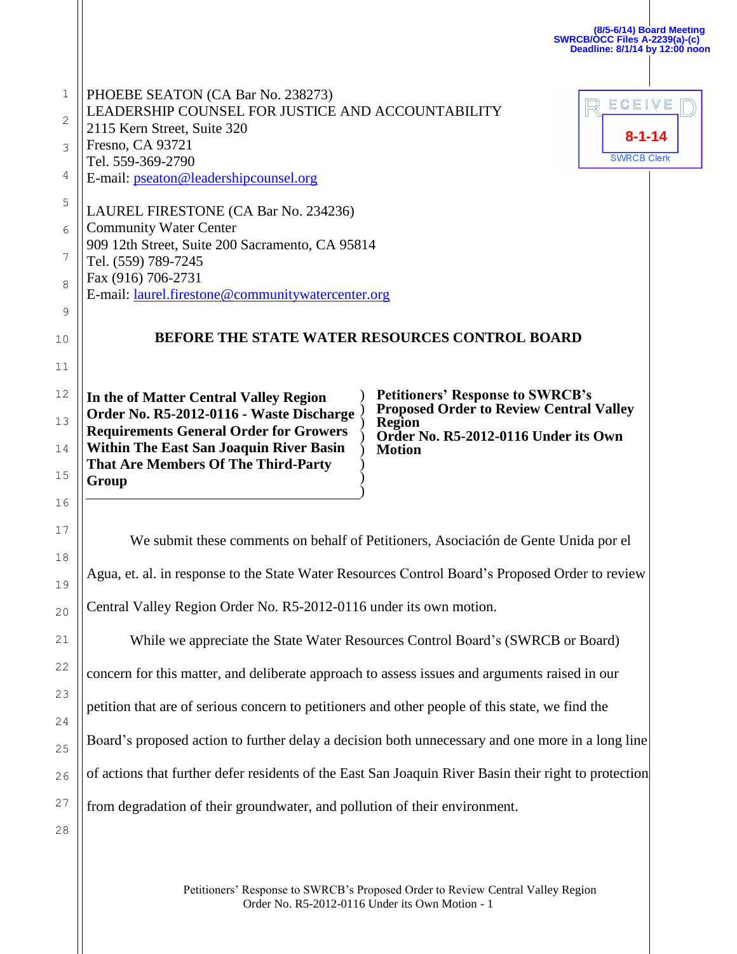|                                                                                                                       |                                                                                     | Deadline: 8/1/14 by 12:00 noon |
|-----------------------------------------------------------------------------------------------------------------------|-------------------------------------------------------------------------------------|--------------------------------|
| PHOEBE SEATON (CA Bar No. 238273)<br>LEADERSHIP COUNSEL FOR JUSTICE AND ACCOUNTABILITY<br>2115 Kern Street, Suite 320 |                                                                                     | ECEIVE                         |
| Fresno, CA 93721                                                                                                      |                                                                                     | $8 - 1 - 14$                   |
| Tel. 559-369-2790<br>E-mail: pseaton@leadershipcounsel.org                                                            |                                                                                     | <b>SWRCB Clerk</b>             |
| LAUREL FIRESTONE (CA Bar No. 234236)                                                                                  |                                                                                     |                                |
| <b>Community Water Center</b><br>909 12th Street, Suite 200 Sacramento, CA 95814                                      |                                                                                     |                                |
| Tel. (559) 789-7245                                                                                                   |                                                                                     |                                |
| Fax (916) 706-2731<br>E-mail: laurel.firestone@communitywatercenter.org                                               |                                                                                     |                                |
|                                                                                                                       |                                                                                     |                                |
|                                                                                                                       | BEFORE THE STATE WATER RESOURCES CONTROL BOARD                                      |                                |
|                                                                                                                       |                                                                                     |                                |
| In the of Matter Central Valley Region                                                                                | <b>Petitioners' Response to SWRCB's<br/>Proposed Order to Review Central Valley</b> |                                |
| Order No. R5-2012-0116 - Waste Discharge<br><b>Requirements General Order for Growers</b>                             | <b>Region</b><br>Order No. R5-2012-0116 Under its Own                               |                                |
| <b>Within The East San Joaquin River Basin</b>                                                                        | <b>Motion</b>                                                                       |                                |
| <b>That Are Members Of The Third-Party</b><br>Group                                                                   |                                                                                     |                                |
|                                                                                                                       |                                                                                     |                                |

**(8/5-6/14) Board Meeting**

**SWRCB/OCC Files A-2239(a)-(c)**

We submit these comments on behalf of Petitioners, Asociación de Gente Unida por el Agua, et. al. in response to the State Water Resources Control Board's Proposed Order to review Central Valley Region Order No. R5-2012-0116 under its own motion.

While we appreciate the State Water Resources Control Board's (SWRCB or Board)

concern for this matter, and deliberate approach to assess issues and arguments raised in our

petition that are of serious concern to petitioners and other people of this state, we find the

Board's proposed action to further delay a decision both unnecessary and one more in a long line

of actions that further defer residents of the East San Joaquin River Basin their right to protection

from degradation of their groundwater, and pollution of their environment.

28

27

18

19

20

21

22

23

24

25

26

Petitioners' Response to SWRCB's Proposed Order to Review Central Valley Region Order No. R5-2012-0116 Under its Own Motion - 1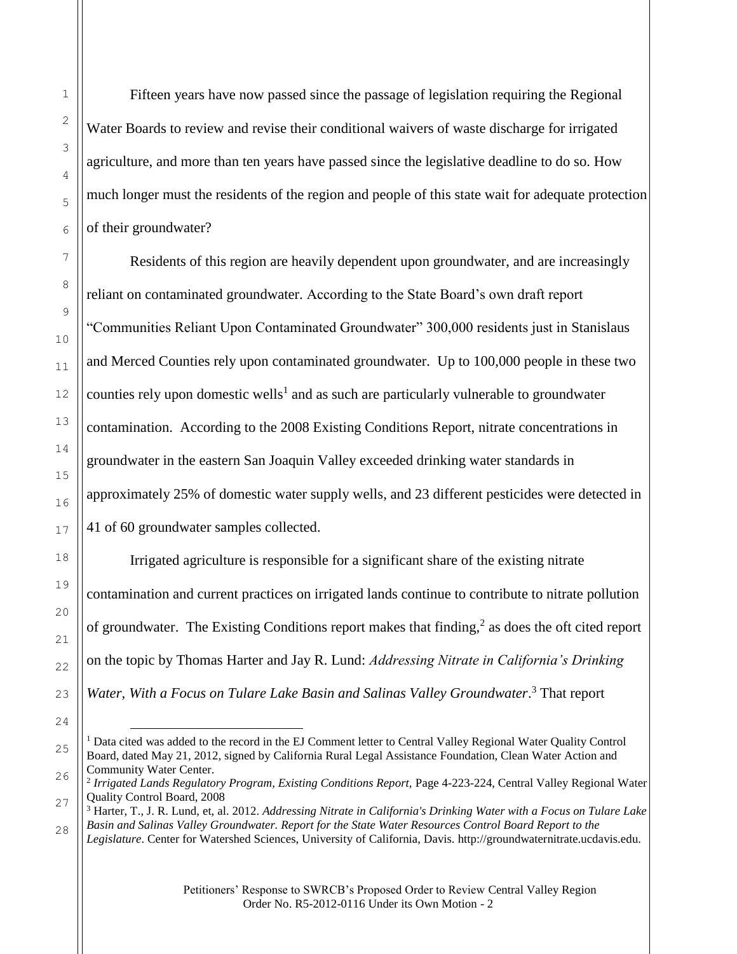Fifteen years have now passed since the passage of legislation requiring the Regional Water Boards to review and revise their conditional waivers of waste discharge for irrigated agriculture, and more than ten years have passed since the legislative deadline to do so. How much longer must the residents of the region and people of this state wait for adequate protection of their groundwater?

Residents of this region are heavily dependent upon groundwater, and are increasingly reliant on contaminated groundwater. According to the State Board's own draft report "Communities Reliant Upon Contaminated Groundwater" 300,000 residents just in Stanislaus and Merced Counties rely upon contaminated groundwater. Up to 100,000 people in these two counties rely upon domestic wells<sup>1</sup> and as such are particularly vulnerable to groundwater contamination. According to the 2008 Existing Conditions Report, nitrate concentrations in groundwater in the eastern San Joaquin Valley exceeded drinking water standards in approximately 25% of domestic water supply wells, and 23 different pesticides were detected in 41 of 60 groundwater samples collected.

Irrigated agriculture is responsible for a significant share of the existing nitrate contamination and current practices on irrigated lands continue to contribute to nitrate pollution of groundwater. The Existing Conditions report makes that finding,<sup>2</sup> as does the oft cited report on the topic by Thomas Harter and Jay R. Lund: *Addressing Nitrate in California's Drinking*  Water, With a Focus on Tulare Lake Basin and Salinas Valley Groundwater.<sup>3</sup> That report

<sup>÷,</sup> <sup>1</sup> Data cited was added to the record in the EJ Comment letter to Central Valley Regional Water Quality Control Board, dated May 21, 2012, signed by California Rural Legal Assistance Foundation, Clean Water Action and Community Water Center.

<sup>&</sup>lt;sup>2</sup> Irrigated Lands Regulatory Program, Existing Conditions Report, Page 4-223-224, Central Valley Regional Water Quality Control Board, 2008

<sup>3</sup> Harter, T., J. R. Lund, et, al. 2012. *Addressing Nitrate in California's Drinking Water with a Focus on Tulare Lake Basin and Salinas Valley Groundwater. Report for the State Water Resources Control Board Report to the* 

*Legislature*. Center for Watershed Sciences, University of California, Davis. http://groundwaternitrate.ucdavis.edu.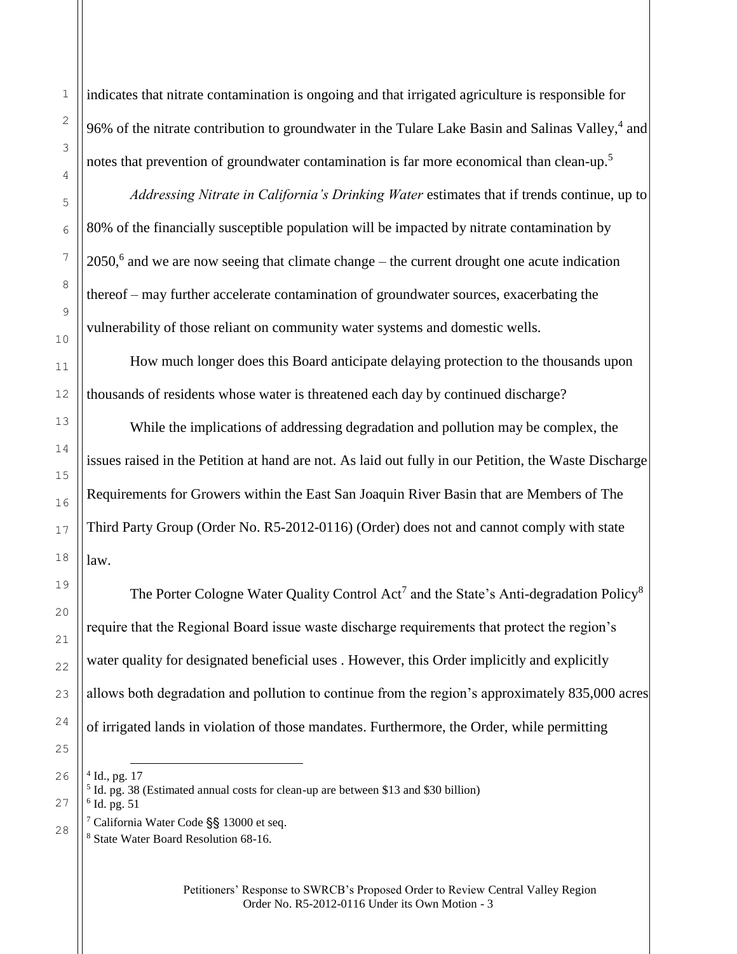indicates that nitrate contamination is ongoing and that irrigated agriculture is responsible for 96% of the nitrate contribution to groundwater in the Tulare Lake Basin and Salinas Valley,<sup>4</sup> and notes that prevention of groundwater contamination is far more economical than clean-up.<sup>5</sup>

*Addressing Nitrate in California's Drinking Water* estimates that if trends continue, up to 80% of the financially susceptible population will be impacted by nitrate contamination by 2050,<sup>6</sup> and we are now seeing that climate change – the current drought one acute indication thereof – may further accelerate contamination of groundwater sources, exacerbating the vulnerability of those reliant on community water systems and domestic wells.

How much longer does this Board anticipate delaying protection to the thousands upon thousands of residents whose water is threatened each day by continued discharge?

While the implications of addressing degradation and pollution may be complex, the issues raised in the Petition at hand are not. As laid out fully in our Petition, the Waste Discharge Requirements for Growers within the East San Joaquin River Basin that are Members of The Third Party Group (Order No. R5-2012-0116) (Order) does not and cannot comply with state law.

The Porter Cologne Water Quality Control Act<sup>7</sup> and the State's Anti-degradation Policy<sup>8</sup> require that the Regional Board issue waste discharge requirements that protect the region's water quality for designated beneficial uses . However, this Order implicitly and explicitly allows both degradation and pollution to continue from the region's approximately 835,000 acres of irrigated lands in violation of those mandates. Furthermore, the Order, while permitting

4 Id., pg. 17

j.

<sup>5</sup> Id. pg. 38 (Estimated annual costs for clean-up are between \$13 and \$30 billion) 6 Id. pg. 51

<sup>7</sup> California Water Code §§ 13000 et seq.

<sup>8</sup> State Water Board Resolution 68-16.